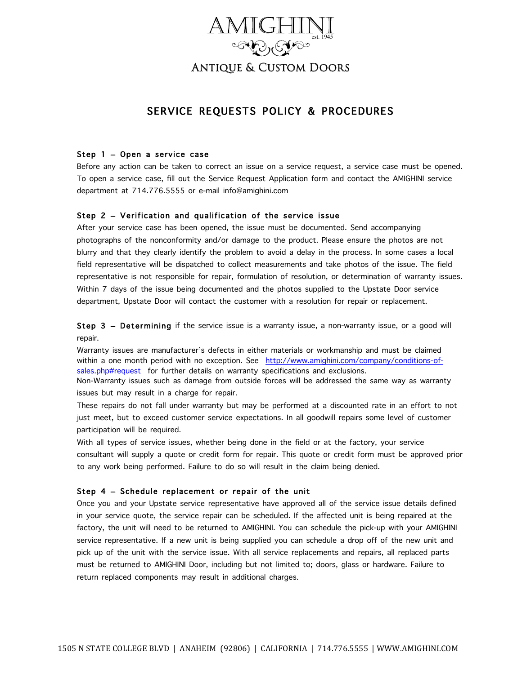

# Antique & Custom Doors

## SERVICE REQUESTS POLICY & PROCEDURES

### Step 1 – Open a service case

Before any action can be taken to correct an issue on a service request, a service case must be opened. To open a service case, fill out the Service Request Application form and contact the AMIGHINI service department at 714.776.5555 or e-mail info@amighini.com

### Step 2 – Verification and qualification of the service issue

After your service case has been opened, the issue must be documented. Send accompanying photographs of the nonconformity and/or damage to the product. Please ensure the photos are not blurry and that they clearly identify the problem to avoid a delay in the process. In some cases a local field representative will be dispatched to collect measurements and take photos of the issue. The field representative is not responsible for repair, formulation of resolution, or determination of warranty issues. Within 7 days of the issue being documented and the photos supplied to the Upstate Door service department, Upstate Door will contact the customer with a resolution for repair or replacement.

Step 3 – Determining if the service issue is a warranty issue, a non-warranty issue, or a good will repair.

Warranty issues are manufacturer's defects in either materials or workmanship and must be claimed within a one month period with no exception. See http://www.amighini.com/company/conditions-ofsales.php#request for further details on warranty specifications and exclusions.

Non-Warranty issues such as damage from outside forces will be addressed the same way as warranty issues but may result in a charge for repair.

These repairs do not fall under warranty but may be performed at a discounted rate in an effort to not just meet, but to exceed customer service expectations. In all goodwill repairs some level of customer participation will be required.

With all types of service issues, whether being done in the field or at the factory, your service consultant will supply a quote or credit form for repair. This quote or credit form must be approved prior to any work being performed. Failure to do so will result in the claim being denied.

### Step 4 – Schedule replacement or repair of the unit

Once you and your Upstate service representative have approved all of the service issue details defined in your service quote, the service repair can be scheduled. If the affected unit is being repaired at the factory, the unit will need to be returned to AMIGHINI. You can schedule the pick-up with your AMIGHINI service representative. If a new unit is being supplied you can schedule a drop off of the new unit and pick up of the unit with the service issue. With all service replacements and repairs, all replaced parts must be returned to AMIGHINI Door, including but not limited to; doors, glass or hardware. Failure to return replaced components may result in additional charges.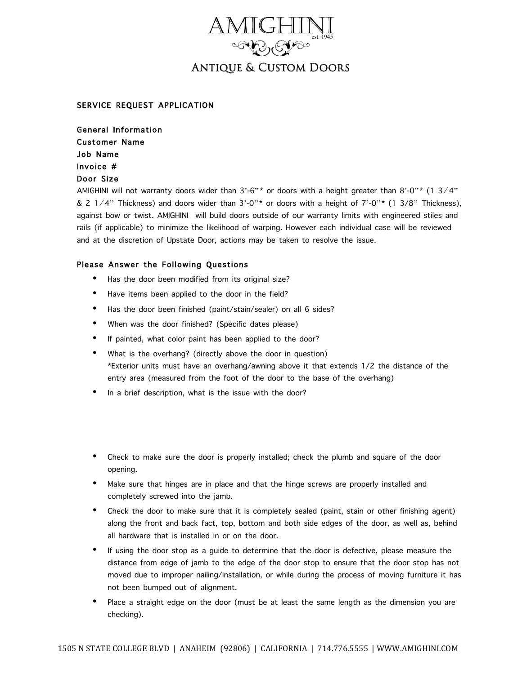

# Antique & Custom Doors

### SERVICE REQUEST APPLICATION

General Information Customer Name Job Name Invoice # Door Size

AMIGHINI will not warranty doors wider than  $3'-6''$  or doors with a height greater than  $8'-0''$  (1 3/4" & 2 1⁄4" Thickness) and doors wider than 3'-0"\* or doors with a height of 7'-0"\* (1 3/8" Thickness), against bow or twist. AMIGHINI will build doors outside of our warranty limits with engineered stiles and rails (if applicable) to minimize the likelihood of warping. However each individual case will be reviewed and at the discretion of Upstate Door, actions may be taken to resolve the issue.

### Please Answer the Following Questions

- Has the door been modified from its original size?
- Have items been applied to the door in the field?
- Has the door been finished (paint/stain/sealer) on all 6 sides?
- When was the door finished? (Specific dates please)
- If painted, what color paint has been applied to the door?
- What is the overhang? (directly above the door in question) \*Exterior units must have an overhang/awning above it that extends 1/2 the distance of the entry area (measured from the foot of the door to the base of the overhang)
- In a brief description, what is the issue with the door?
- Check to make sure the door is properly installed; check the plumb and square of the door opening.
- Make sure that hinges are in place and that the hinge screws are properly installed and completely screwed into the jamb.
- Check the door to make sure that it is completely sealed (paint, stain or other finishing agent) along the front and back fact, top, bottom and both side edges of the door, as well as, behind all hardware that is installed in or on the door.
- If using the door stop as a guide to determine that the door is defective, please measure the distance from edge of jamb to the edge of the door stop to ensure that the door stop has not moved due to improper nailing/installation, or while during the process of moving furniture it has not been bumped out of alignment.
- Place a straight edge on the door (must be at least the same length as the dimension you are checking).